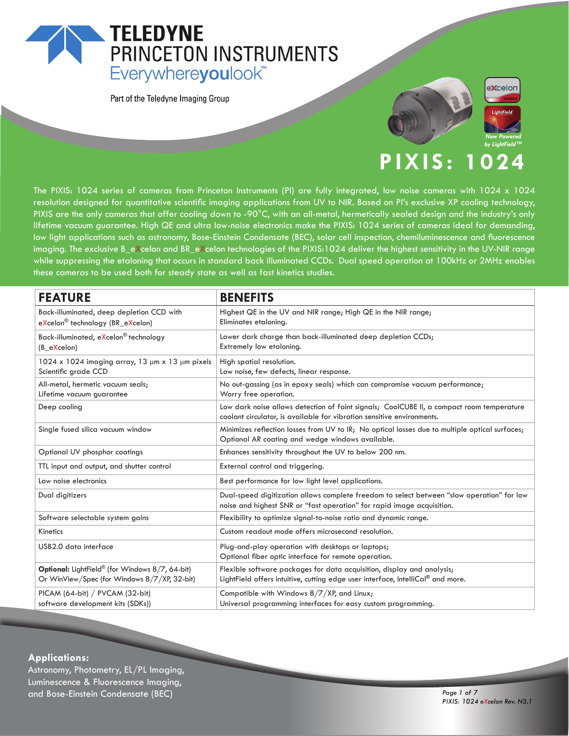## **TELEDYNE** PRINCETON INSTRUMENTS Everywhereyoulook<sup>"</sup>

Part of the Teledyne Imaging Group





## **PIXIS: 1024**

The PIXIS: 1024 series of cameras from Princeton Instruments (PI) are fully integrated, low noise cameras with 1024 x 1024 resolution designed for quantitative scientific imaging applications from UV to NIR. Based on PI's exclusive XP cooling technology, PIXIS are the only cameras that offer cooling down to -90°C, with an all-metal, hermetically sealed design and the industry's only lifetime vacuum guarantee. High QE and ultra low-noise electronics make the PIXIS: 1024 series of cameras ideal for demanding, low light applications such as astronomy, Bose-Einstein Condensate (BEC), solar cell inspection, chemiluminescence and fluorescence imaging. The exclusive B\_eXcelon and BR\_eXcelon technologies of the PIXIS:1024 deliver the highest sensitivity in the UV-NIR range while suppressing the etaloning that occurs in standard back illuminated CCDs. Dual speed operation at 100kHz or 2MHz enables these cameras to be used both for steady state as well as fast kinetics studies.

| <b>FEATURE</b>                                                                                  | <b>BENEFITS</b>                                                                                                                                                       |
|-------------------------------------------------------------------------------------------------|-----------------------------------------------------------------------------------------------------------------------------------------------------------------------|
| Back-illuminated, deep depletion CCD with<br>eXcelon <sup>®</sup> technology (BR_eXcelon)       | Highest QE in the UV and NIR range; High QE in the NIR range;<br>Eliminates etaloning.                                                                                |
| Back-illuminated, eXcelon® technology<br>(B eXcelon)                                            | Lower dark charge than back-illuminated deep depletion CCDs;<br>Extremely low etaloning.                                                                              |
| 1024 x 1024 imaging array, 13 $\mu$ m x 13 $\mu$ m pixels<br>Scientific grade CCD               | High spatial resolution.<br>Low noise, few defects, linear response.                                                                                                  |
| All-metal, hermetic vacuum seals;<br>Lifetime vacuum quarantee                                  | No out-gassing (as in epoxy seals) which can compromise vacuum performance;<br>Worry free operation.                                                                  |
| Deep cooling                                                                                    | Low dark noise allows detection of faint signals; CoolCUBE II, a compact room temperature<br>coolant circulator, is available for vibration sensitive environments.   |
| Single fused silica vacuum window                                                               | Minimizes reflection losses from UV to IR; No optical losses due to multiple optical surfaces;<br>Optional AR coating and wedge windows available.                    |
| Optional UV phosphor coatings                                                                   | Enhances sensitivity throughout the UV to below 200 nm.                                                                                                               |
| TTL input and output, and shutter control                                                       | External control and triggering.                                                                                                                                      |
| Low noise electronics                                                                           | Best performance for low light level applications.                                                                                                                    |
| Dual digitizers                                                                                 | Dual-speed digitization allows complete freedom to select between "slow operation" for low<br>noise and highest SNR or "fast operation" for rapid image acquisition.  |
| Software selectable system gains                                                                | Flexibility to optimize signal-to-noise ratio and dynamic range.                                                                                                      |
| Kinetics                                                                                        | Custom readout mode offers microsecond resolution.                                                                                                                    |
| USB2.0 data interface                                                                           | Plug-and-play operation with desktops or laptops;<br>Optional fiber optic interface for remote operation.                                                             |
| Optional: LightField® (for Windows 8/7, 64-bit)<br>Or WinView/Spec (for Windows 8/7/XP, 32-bit) | Flexible software packages for data acquisition, display and analysis;<br>LightField offers intuitive, cutting edge user interface, IntelliCal <sup>®</sup> and more. |
| PICAM (64-bit) / PVCAM (32-bit)<br>software development kits (SDKs))                            | Compatible with Windows 8/7/XP, and Linux;<br>Universal programming interfaces for easy custom programming.                                                           |

#### **Applications:**

Astronomy, Photometry, EL/PL Imaging, Luminescence & Fluorescence Imaging, and Bose-Einstein Condensate (BEC) *Page 1 of 7*

*PIXIS: 1024 eXcelon Rev. N3.1*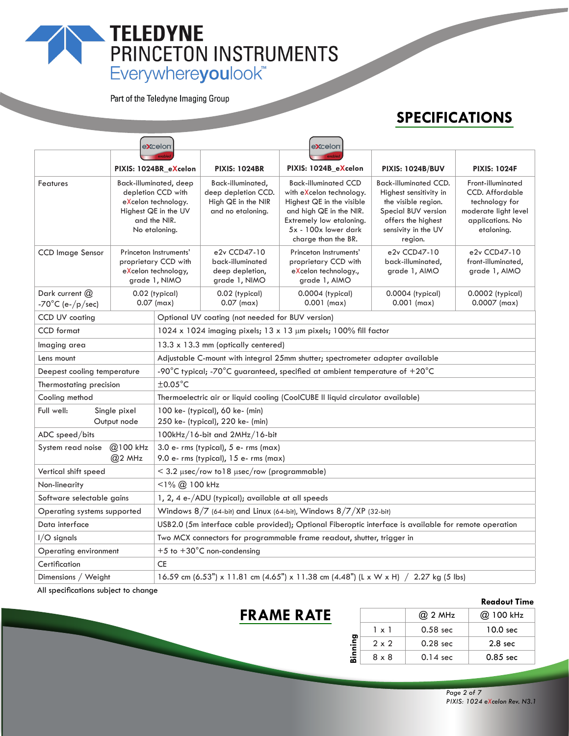# TELEDYNE<br>
PRINCETON INSTRUMENTS<br>
Everywhereyoulook"

Part of the Teledyne Imaging Group

## **SPECIFICATIONS**

|                                                                                                     |                                                                                                                              | <b>excelon</b>                                                                                        |                                                                                        | <b>eXcelon</b>                                                                                                                                                                             |                                                                                                                                                              |                                                                                                                         |  |
|-----------------------------------------------------------------------------------------------------|------------------------------------------------------------------------------------------------------------------------------|-------------------------------------------------------------------------------------------------------|----------------------------------------------------------------------------------------|--------------------------------------------------------------------------------------------------------------------------------------------------------------------------------------------|--------------------------------------------------------------------------------------------------------------------------------------------------------------|-------------------------------------------------------------------------------------------------------------------------|--|
|                                                                                                     |                                                                                                                              |                                                                                                       |                                                                                        |                                                                                                                                                                                            |                                                                                                                                                              |                                                                                                                         |  |
|                                                                                                     |                                                                                                                              | PIXIS: 1024BR_eXcelon                                                                                 | <b>PIXIS: 1024BR</b>                                                                   | PIXIS: 1024B_eXcelon                                                                                                                                                                       | <b>PIXIS: 1024B/BUV</b>                                                                                                                                      | <b>PIXIS: 1024F</b>                                                                                                     |  |
| Features                                                                                            | Back-illuminated, deep<br>depletion CCD with<br>eXcelon technology.<br>Highest QE in the UV<br>and the NIR.<br>No etaloning. |                                                                                                       | Back-illuminated,<br>deep depletion CCD.<br>High QE in the NIR<br>and no etaloning.    | <b>Back-illuminated CCD</b><br>with eXcelon technology.<br>Highest QE in the visible<br>and high QE in the NIR.<br>Extremely low etaloning.<br>5x - 100x lower dark<br>charge than the BR. | <b>Back-illuminated CCD.</b><br>Highest sensitivity in<br>the visible region.<br>Special BUV version<br>offers the highest<br>sensivity in the UV<br>region. | Front-illuminated<br><b>CCD.</b> Affordable<br>technology for<br>moderate light level<br>applications. No<br>etaloning. |  |
| <b>CCD</b> Image Sensor                                                                             | Princeton Instruments'<br>proprietary CCD with<br>eXcelon technology,<br>grade 1, NIMO                                       |                                                                                                       | e2v CCD47-10<br>back-illuminated<br>deep depletion,<br>grade 1, NIMO                   | Princeton Instruments'<br>proprietary CCD with<br>eXcelon technology.,<br>grade 1, AIMO                                                                                                    | e2v CCD47-10<br>back-illuminated.<br>grade 1, AIMO                                                                                                           | e2v CCD47-10<br>front-illuminated,<br>grade 1, AIMO                                                                     |  |
| Dark current $(2)$<br>-70 $^{\circ}$ C (e-/p/sec)                                                   |                                                                                                                              | 0.02 (typical)<br>$0.07$ (max)                                                                        | 0.02 (typical)<br>$0.07$ (max)                                                         | 0.0004 (typical)<br>$0.001$ (max)                                                                                                                                                          | 0.0004 (typical)<br>$0.001$ (max)                                                                                                                            | 0.0002 (typical)<br>$0.0007$ (max)                                                                                      |  |
| CCD UV coating                                                                                      |                                                                                                                              |                                                                                                       | Optional UV coating (not needed for BUV version)                                       |                                                                                                                                                                                            |                                                                                                                                                              |                                                                                                                         |  |
| <b>CCD</b> format                                                                                   |                                                                                                                              |                                                                                                       | 1024 x 1024 imaging pixels; 13 x 13 $\mu$ m pixels; 100% fill factor                   |                                                                                                                                                                                            |                                                                                                                                                              |                                                                                                                         |  |
| Imaging area                                                                                        |                                                                                                                              | 13.3 x 13.3 mm (optically centered)                                                                   |                                                                                        |                                                                                                                                                                                            |                                                                                                                                                              |                                                                                                                         |  |
| Lens mount                                                                                          |                                                                                                                              | Adjustable C-mount with integral 25mm shutter; spectrometer adapter available                         |                                                                                        |                                                                                                                                                                                            |                                                                                                                                                              |                                                                                                                         |  |
| Deepest cooling temperature                                                                         |                                                                                                                              | -90°C typical; -70°C guaranteed, specified at ambient temperature of $+20^{\circ}$ C                  |                                                                                        |                                                                                                                                                                                            |                                                                                                                                                              |                                                                                                                         |  |
| $\pm 0.05^{\circ}$ C<br>Thermostating precision                                                     |                                                                                                                              |                                                                                                       |                                                                                        |                                                                                                                                                                                            |                                                                                                                                                              |                                                                                                                         |  |
| Cooling method                                                                                      |                                                                                                                              | Thermoelectric air or liquid cooling (CoolCUBE II liquid circulator available)                        |                                                                                        |                                                                                                                                                                                            |                                                                                                                                                              |                                                                                                                         |  |
| Full well:<br>Single pixel<br>Output node                                                           |                                                                                                                              | 100 ke- (typical), 60 ke- (min)<br>250 ke- (typical), 220 ke- (min)                                   |                                                                                        |                                                                                                                                                                                            |                                                                                                                                                              |                                                                                                                         |  |
| ADC speed/bits                                                                                      |                                                                                                                              |                                                                                                       | 100kHz/16-bit and 2MHz/16-bit                                                          |                                                                                                                                                                                            |                                                                                                                                                              |                                                                                                                         |  |
| @100 kHz<br>System read noise<br>$@2$ MHz                                                           |                                                                                                                              | 3.0 e- rms (typical), 5 e- rms (max)<br>9.0 e- rms (typical), 15 e- rms (max)                         |                                                                                        |                                                                                                                                                                                            |                                                                                                                                                              |                                                                                                                         |  |
| Vertical shift speed                                                                                |                                                                                                                              | < 3.2 µsec/row to18 µsec/row (programmable)                                                           |                                                                                        |                                                                                                                                                                                            |                                                                                                                                                              |                                                                                                                         |  |
| <1% @ 100 kHz<br>Non-linearity                                                                      |                                                                                                                              |                                                                                                       |                                                                                        |                                                                                                                                                                                            |                                                                                                                                                              |                                                                                                                         |  |
|                                                                                                     | Software selectable gains                                                                                                    |                                                                                                       | 1, 2, 4 e-/ADU (typical); available at all speeds                                      |                                                                                                                                                                                            |                                                                                                                                                              |                                                                                                                         |  |
| Windows $8/7$ (64-bit) and Linux (64-bit), Windows $8/7/XP$ (32-bit)<br>Operating systems supported |                                                                                                                              |                                                                                                       |                                                                                        |                                                                                                                                                                                            |                                                                                                                                                              |                                                                                                                         |  |
| Data interface                                                                                      |                                                                                                                              | USB2.0 (5m interface cable provided); Optional Fiberoptic interface is available for remote operation |                                                                                        |                                                                                                                                                                                            |                                                                                                                                                              |                                                                                                                         |  |
| $1/O$ signals                                                                                       |                                                                                                                              | Two MCX connectors for programmable frame readout, shutter, trigger in                                |                                                                                        |                                                                                                                                                                                            |                                                                                                                                                              |                                                                                                                         |  |
| Operating environment                                                                               |                                                                                                                              | +5 to $+30^{\circ}$ C non-condensing                                                                  |                                                                                        |                                                                                                                                                                                            |                                                                                                                                                              |                                                                                                                         |  |
| Certification                                                                                       |                                                                                                                              | CE                                                                                                    |                                                                                        |                                                                                                                                                                                            |                                                                                                                                                              |                                                                                                                         |  |
| Dimensions / Weight                                                                                 |                                                                                                                              |                                                                                                       | 16.59 cm (6.53") x 11.81 cm (4.65") x 11.38 cm (4.48") (L x W x H) $/$ 2.27 kg (5 lbs) |                                                                                                                                                                                            |                                                                                                                                                              |                                                                                                                         |  |

**FRAME RATE**

All specifications subject to change

|         |              |                     | <b>Readout Time</b> |
|---------|--------------|---------------------|---------------------|
|         |              | @ 2 MHz             | @ 100 kHz           |
|         | $1 \times 1$ | $0.58$ sec          | 10.0 sec            |
|         | $2 \times 2$ | 0.28 <sub>sec</sub> | 2.8 <sub>sec</sub>  |
| Binning | 8 x 8        | $0.14 \text{ sec}$  | $0.85$ sec          |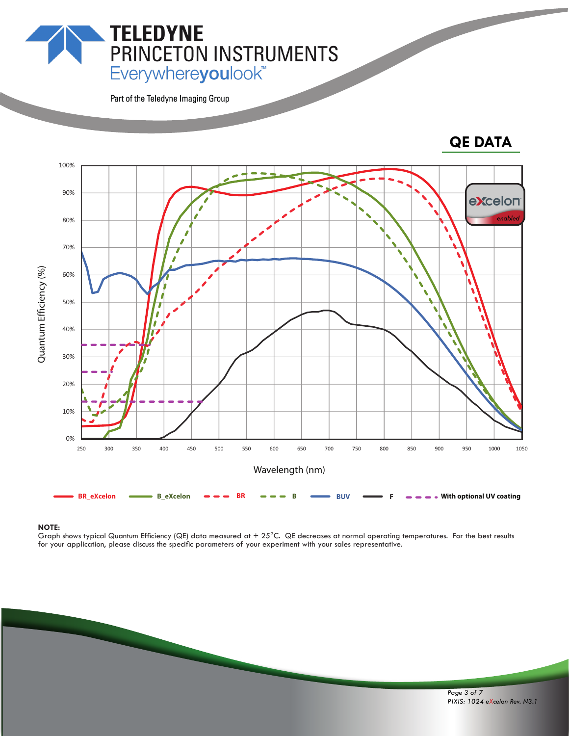## **PRINCETON INSTRUMENTS**<br>Everywhereyoulook"

Part of the Teledyne Imaging Group

**TELEDYNE** 

### **QE DATA**



#### **NOTE:**

Graph shows typical Quantum Efficiency (QE) data measured at  $+25^{\circ}$ C. QE decreases at normal operating temperatures. For the best results for your application, please discuss the specific parameters of your experiment with your sales representative.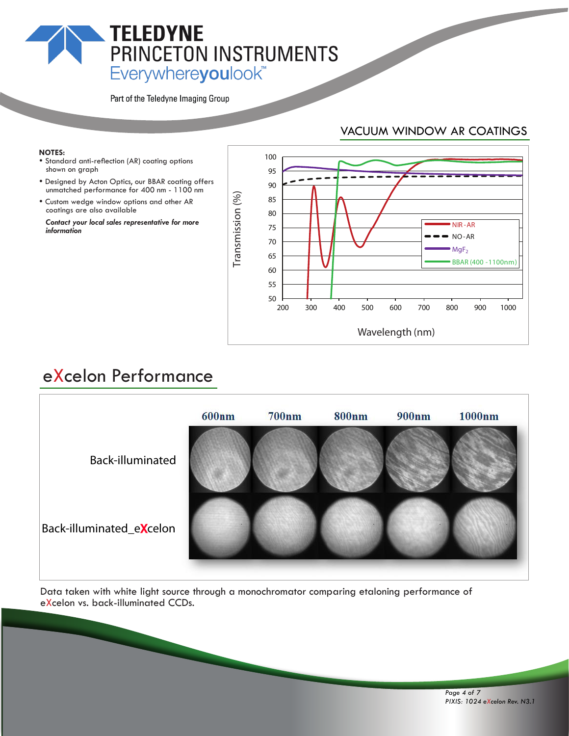## **TELEDYNE** PRINCETON INSTRUMENTS Everywhereyoulook<sup>\*\*</sup>

Part of the Teledyne Imaging Group

#### VACUUM WINDOW AR COATINGS

#### **NOTES:**

- Standard anti-reflection (AR) coating options shown on graph
- Designed by Acton Optics, our BBAR coating offers unmatched performance for 400 nm - 1100 nm
- Custom wedge window options and other AR coatings are also available

 *Contact your local sales representative for more information*



## eXcelon Performance



Data taken with white light source through a monochromator comparing etaloning performance of eXcelon vs. back-illuminated CCDs.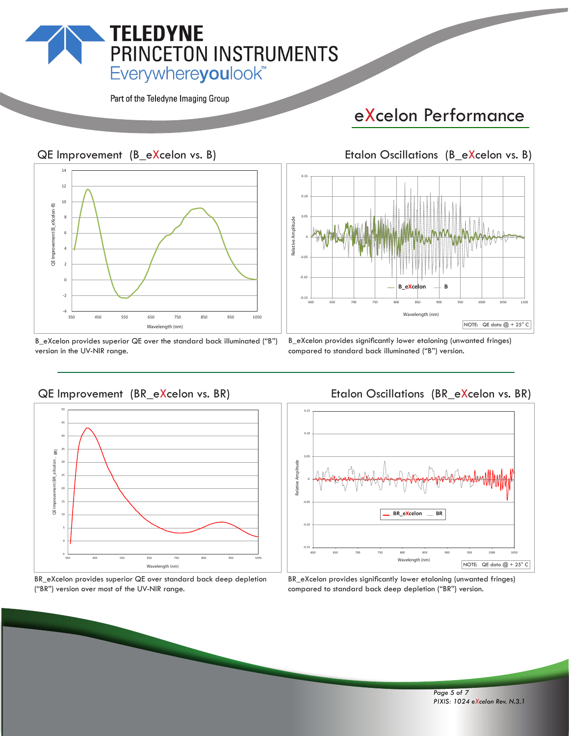## **TELEDYNE** PRINCETON INSTRUMENTS Everywhereyoulook<sup>"</sup>

Part of the Teledyne Imaging Group

## eXcelon Performance

#### QE Improvement (B\_eXcelon vs. B)



B\_eXcelon provides superior QE over the standard back illuminated ("B") version in the UV-NIR range.

#### B\_eXcelon provides significantly lower etaloning (unwanted fringes) compared to standard back illuminated ("B") version.

600 650 700 750 800 850 900 950 1000 1050 1100

**Wavelength (nm)**

NOTE: QE data  $@ + 25°$  C

**B\_eXcelon B**

-0.15

 $-0.1$ 

-0.05

0

**Relative Amplitude**

Relative Amplitude

0.05

0.10

0.15

#### QE Improvement (BR\_eXcelon vs. BR) 50 45 40 BR) 35 nent (BR\_eXcelon 30 25



BR\_eXcelon provides superior QE over standard back deep depletion ("BR") version over most of the UV-NIR range.

#### Etalon Oscillations (BR\_eXcelon vs. BR)



BR\_eXcelon provides significantly lower etaloning (unwanted fringes) compared to standard back deep depletion ("BR") version.

Etalon Oscillations (B\_eXcelon vs. B)

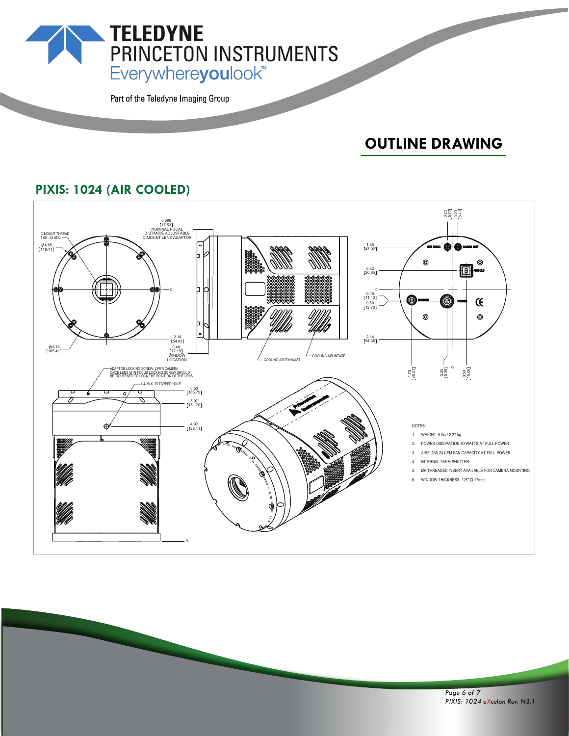PRINCETON INSTRUMENTS Everywhereyoulook<sup>\*\*</sup>

Part of the Teledyne Imaging Group

**TELEDYNE** 

## **OUTLINE DRAWING**

#### **PIXIS: 1024 (AIR COOLED)**